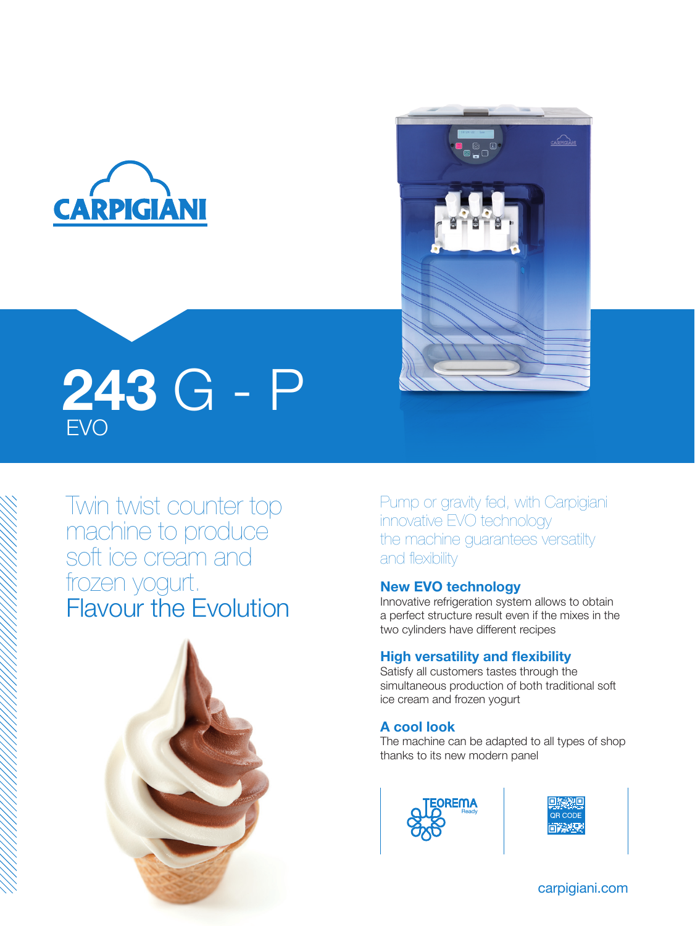



# EVO 243 G - P

Twin twist counter top machine to produce soft ice cream and frozen yogurt. Flavour the Evolution



Pump or gravity fed, with Carpigiani innovative EVO technology the machine guarantees versatilty and flexibility

#### New EVO technology

Innovative refrigeration system allows to obtain a perfect structure result even if the mixes in the two cylinders have different recipes

#### High versatility and flexibility

Satisfy all customers tastes through the simultaneous production of both traditional soft ice cream and frozen yogurt

#### A cool look

The machine can be adapted to all types of shop thanks to its new modern panel





carpigiani.com